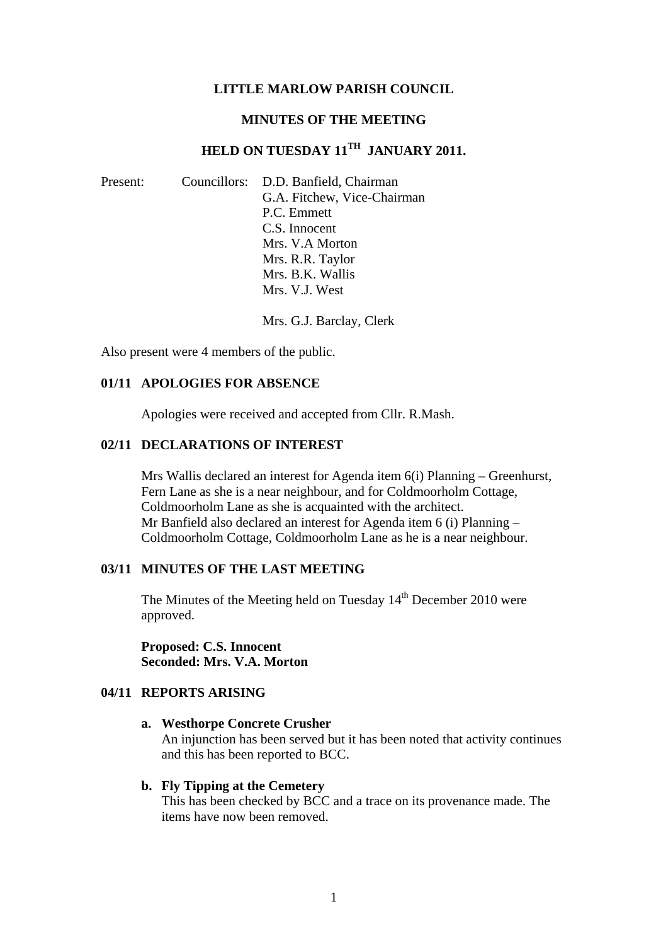#### **LITTLE MARLOW PARISH COUNCIL**

#### **MINUTES OF THE MEETING**

# **HELD ON TUESDAY 11TH JANUARY 2011.**

| Present: | Councillors: D.D. Banfield, Chairman |
|----------|--------------------------------------|
|          | G.A. Fitchew, Vice-Chairman          |
|          | P.C. Emmett                          |
|          | C.S. Innocent                        |
|          | Mrs. V.A Morton                      |
|          | Mrs. R.R. Taylor                     |
|          | Mrs. B.K. Wallis                     |
|          | Mrs. V.J. West                       |

Mrs. G.J. Barclay, Clerk

Also present were 4 members of the public.

#### **01/11 APOLOGIES FOR ABSENCE**

Apologies were received and accepted from Cllr. R.Mash.

#### **02/11 DECLARATIONS OF INTEREST**

Mrs Wallis declared an interest for Agenda item 6(i) Planning – Greenhurst, Fern Lane as she is a near neighbour, and for Coldmoorholm Cottage, Coldmoorholm Lane as she is acquainted with the architect. Mr Banfield also declared an interest for Agenda item 6 (i) Planning – Coldmoorholm Cottage, Coldmoorholm Lane as he is a near neighbour.

### **03/11 MINUTES OF THE LAST MEETING**

The Minutes of the Meeting held on Tuesday  $14<sup>th</sup>$  December 2010 were approved.

**Proposed: C.S. Innocent Seconded: Mrs. V.A. Morton** 

# **04/11 REPORTS ARISING**

#### **a. Westhorpe Concrete Crusher**

An injunction has been served but it has been noted that activity continues and this has been reported to BCC.

#### **b. Fly Tipping at the Cemetery**

This has been checked by BCC and a trace on its provenance made. The items have now been removed.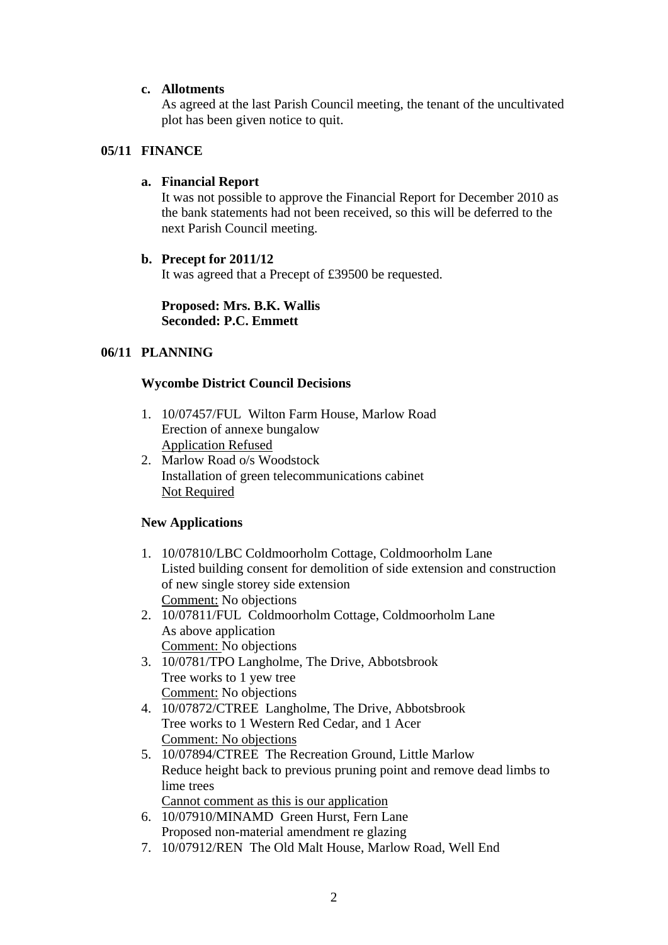# **c. Allotments**

As agreed at the last Parish Council meeting, the tenant of the uncultivated plot has been given notice to quit.

### **05/11 FINANCE**

### **a. Financial Report**

It was not possible to approve the Financial Report for December 2010 as the bank statements had not been received, so this will be deferred to the next Parish Council meeting.

# **b. Precept for 2011/12**

It was agreed that a Precept of £39500 be requested.

#### **Proposed: Mrs. B.K. Wallis Seconded: P.C. Emmett**

# **06/11 PLANNING**

# **Wycombe District Council Decisions**

- 1. 10/07457/FUL Wilton Farm House, Marlow Road Erection of annexe bungalow Application Refused
- 2. Marlow Road o/s Woodstock Installation of green telecommunications cabinet Not Required

# **New Applications**

- 1. 10/07810/LBC Coldmoorholm Cottage, Coldmoorholm Lane Listed building consent for demolition of side extension and construction of new single storey side extension Comment: No objections
- 2. 10/07811/FUL Coldmoorholm Cottage, Coldmoorholm Lane As above application Comment: No objections
- 3. 10/0781/TPO Langholme, The Drive, Abbotsbrook Tree works to 1 yew tree Comment: No objections
- 4. 10/07872/CTREE Langholme, The Drive, Abbotsbrook Tree works to 1 Western Red Cedar, and 1 Acer Comment: No objections
- 5. 10/07894/CTREE The Recreation Ground, Little Marlow Reduce height back to previous pruning point and remove dead limbs to lime trees Cannot comment as this is our application
- 6. 10/07910/MINAMD Green Hurst, Fern Lane Proposed non-material amendment re glazing
- 7. 10/07912/REN The Old Malt House, Marlow Road, Well End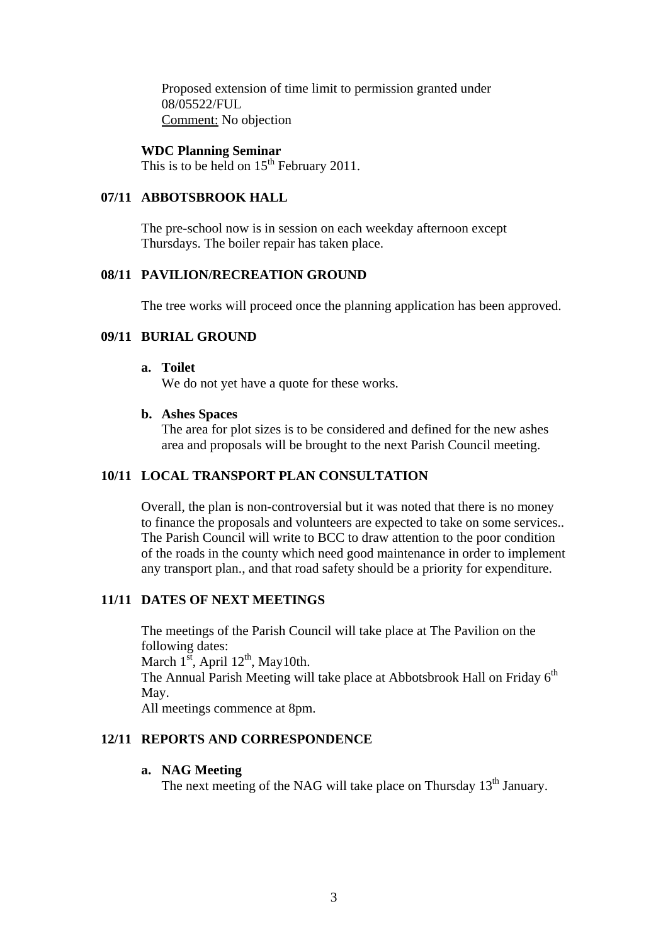Proposed extension of time limit to permission granted under 08/05522/FUL Comment: No objection

#### **WDC Planning Seminar**

This is to be held on  $15<sup>th</sup>$  February 2011.

### **07/11 ABBOTSBROOK HALL**

The pre-school now is in session on each weekday afternoon except Thursdays. The boiler repair has taken place.

### **08/11 PAVILION/RECREATION GROUND**

The tree works will proceed once the planning application has been approved.

### **09/11 BURIAL GROUND**

#### **a. Toilet**

We do not yet have a quote for these works.

#### **b. Ashes Spaces**

The area for plot sizes is to be considered and defined for the new ashes area and proposals will be brought to the next Parish Council meeting.

### **10/11 LOCAL TRANSPORT PLAN CONSULTATION**

Overall, the plan is non-controversial but it was noted that there is no money to finance the proposals and volunteers are expected to take on some services.. The Parish Council will write to BCC to draw attention to the poor condition of the roads in the county which need good maintenance in order to implement any transport plan., and that road safety should be a priority for expenditure.

#### **11/11 DATES OF NEXT MEETINGS**

The meetings of the Parish Council will take place at The Pavilion on the following dates: March  $1^{st}$ , April  $12^{th}$ , May10th. The Annual Parish Meeting will take place at Abbotsbrook Hall on Friday  $6<sup>th</sup>$ May. All meetings commence at 8pm.

#### **12/11 REPORTS AND CORRESPONDENCE**

#### **a. NAG Meeting**

The next meeting of the NAG will take place on Thursday 13<sup>th</sup> January.